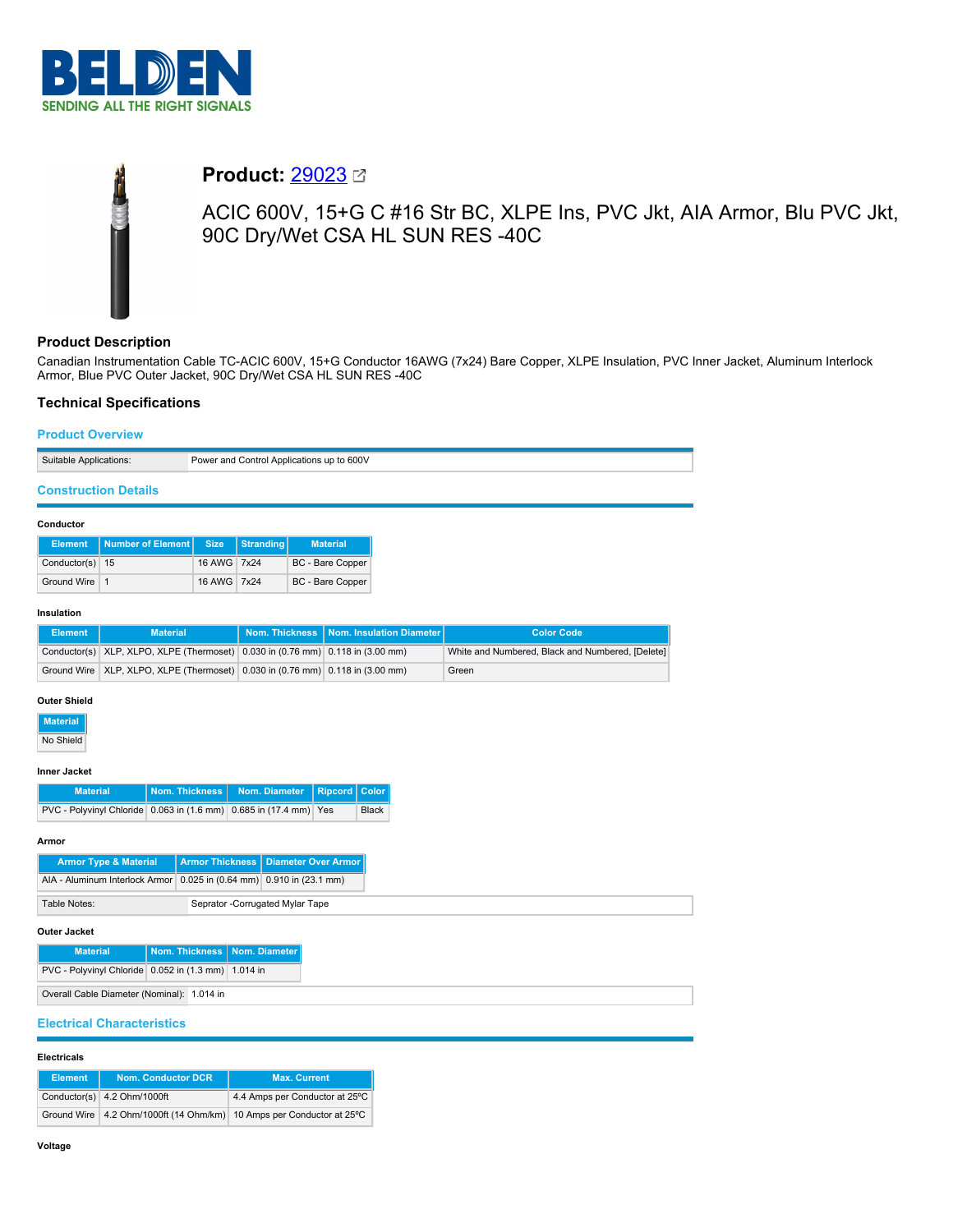

# **Product:** [29023](https://catalog.belden.com/index.cfm?event=pd&p=PF_29023&tab=downloads)

ACIC 600V, 15+G C #16 Str BC, XLPE Ins, PVC Jkt, AIA Armor, Blu PVC Jkt, 90C Dry/Wet CSA HL SUN RES -40C

# **Product Description**

Canadian Instrumentation Cable TC-ACIC 600V, 15+G Conductor 16AWG (7x24) Bare Copper, XLPE Insulation, PVC Inner Jacket, Aluminum Interlock Armor, Blue PVC Outer Jacket, 90C Dry/Wet CSA HL SUN RES -40C

# **Technical Specifications**

## **Product Overview**

Suitable Applications: Power and Control Applications up to 600V

# **Construction Details**

#### **Conductor**

|                 | Element   Number of Element   Size |             | Stranding | <b>Material</b>  |
|-----------------|------------------------------------|-------------|-----------|------------------|
| Conductor(s) 15 |                                    | 16 AWG 7x24 |           | BC - Bare Copper |
| Ground Wire 1   |                                    | 16 AWG 7x24 |           | BC - Bare Copper |

## **Insulation**

| <b>Element</b> | <b>Material</b>                                                                        | Nom. Thickness   Nom. Insulation Diameter | <b>Color Code</b>                                |
|----------------|----------------------------------------------------------------------------------------|-------------------------------------------|--------------------------------------------------|
|                | Conductor(s) XLP, XLPO, XLPE (Thermoset) $0.030$ in $(0.76$ mm) $0.118$ in $(3.00$ mm) |                                           | White and Numbered, Black and Numbered, [Delete] |
|                | Ground Wire   XLP, XLPO, XLPE (Thermoset)   0.030 in (0.76 mm)   0.118 in (3.00 mm)    |                                           | Green                                            |

## **Outer Shield**

**Material** No Shield

#### **Inner Jacket**

| <b>Material</b>                                                   | Nom. Thickness   Nom. Diameter   Ripcord   Color |              |
|-------------------------------------------------------------------|--------------------------------------------------|--------------|
| PVC - Polyvinyl Chloride 0.063 in (1.6 mm) 0.685 in (17.4 mm) Yes |                                                  | <b>Black</b> |

#### **Armor**

## **Outer Jacket**

| <b>Material</b>                                     | Nom. Thickness   Nom. Diameter |  |
|-----------------------------------------------------|--------------------------------|--|
| PVC - Polyvinyl Chloride 0.052 in (1.3 mm) 1.014 in |                                |  |
| Overall Cable Diameter (Nominal): 1.014 in          |                                |  |

# **Electrical Characteristics**

#### **Electricals**

| <b>Element</b> | <b>Nom. Conductor DCR</b>   | <b>Max. Current</b>                                                  |
|----------------|-----------------------------|----------------------------------------------------------------------|
|                | Conductor(s) 4.2 Ohm/1000ft | 4.4 Amps per Conductor at 25°C                                       |
|                |                             | Ground Wire 4.2 Ohm/1000ft (14 Ohm/km) 10 Amps per Conductor at 25°C |

## **Voltage**